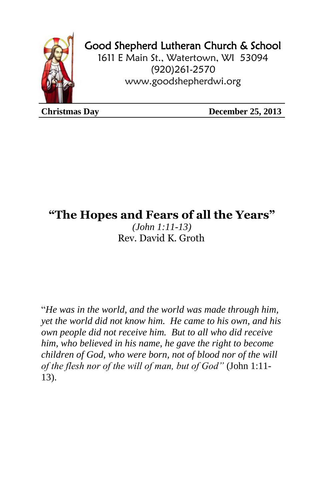

## Good Shepherd Lutheran Church & School

1611 E Main St., Watertown, WI 53094 (920)261-2570 [www.goodshepherdwi.org](http://www.goodshepherdwi.org/)

**Christmas Day December 25, 2013**

## **"The Hopes and Fears of all the Years"**

*(John 1:11-13)* Rev. David K. Groth

"*He was in the world, and the world was made through him, yet the world did not know him. He came to his own, and his own people did not receive him. But to all who did receive him, who believed in his name, he gave the right to become children of God, who were born, not of blood nor of the will of the flesh nor of the will of man, but of God"* (John 1:11- 13).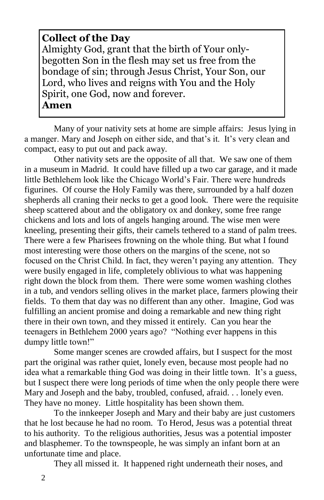## **Collect of the Day**

Almighty God, grant that the birth of Your onlybegotten Son in the flesh may set us free from the bondage of sin; through Jesus Christ, Your Son, our Lord, who lives and reigns with You and the Holy Spirit, one God, now and forever. **Amen**

Many of your nativity sets at home are simple affairs: Jesus lying in a manger. Mary and Joseph on either side, and that's it. It's very clean and compact, easy to put out and pack away.

Other nativity sets are the opposite of all that. We saw one of them in a museum in Madrid. It could have filled up a two car garage, and it made little Bethlehem look like the Chicago World's Fair. There were hundreds figurines. Of course the Holy Family was there, surrounded by a half dozen shepherds all craning their necks to get a good look. There were the requisite sheep scattered about and the obligatory ox and donkey, some free range chickens and lots and lots of angels hanging around. The wise men were kneeling, presenting their gifts, their camels tethered to a stand of palm trees. There were a few Pharisees frowning on the whole thing. But what I found most interesting were those others on the margins of the scene, not so focused on the Christ Child. In fact, they weren't paying any attention. They were busily engaged in life, completely oblivious to what was happening right down the block from them. There were some women washing clothes in a tub, and vendors selling olives in the market place, farmers plowing their fields. To them that day was no different than any other. Imagine, God was fulfilling an ancient promise and doing a remarkable and new thing right there in their own town, and they missed it entirely. Can you hear the teenagers in Bethlehem 2000 years ago? "Nothing ever happens in this dumpy little town!"

Some manger scenes are crowded affairs, but I suspect for the most part the original was rather quiet, lonely even, because most people had no idea what a remarkable thing God was doing in their little town. It's a guess, but I suspect there were long periods of time when the only people there were Mary and Joseph and the baby, troubled, confused, afraid. . . lonely even. They have no money. Little hospitality has been shown them.

To the innkeeper Joseph and Mary and their baby are just customers that he lost because he had no room. To Herod, Jesus was a potential threat to his authority. To the religious authorities, Jesus was a potential imposter and blasphemer. To the townspeople, he was simply an infant born at an unfortunate time and place.

They all missed it. It happened right underneath their noses, and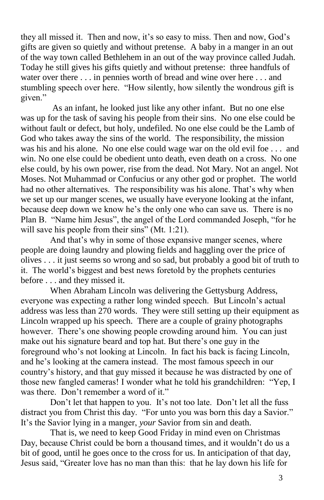they all missed it. Then and now, it's so easy to miss. Then and now, God's gifts are given so quietly and without pretense. A baby in a manger in an out of the way town called Bethlehem in an out of the way province called Judah. Today he still gives his gifts quietly and without pretense: three handfuls of water over there . . . in pennies worth of bread and wine over here . . . and stumbling speech over here. "How silently, how silently the wondrous gift is given."

As an infant, he looked just like any other infant. But no one else was up for the task of saving his people from their sins. No one else could be without fault or defect, but holy, undefiled. No one else could be the Lamb of God who takes away the sins of the world. The responsibility, the mission was his and his alone. No one else could wage war on the old evil foe . . . and win. No one else could be obedient unto death, even death on a cross. No one else could, by his own power, rise from the dead. Not Mary. Not an angel. Not Moses. Not Muhammad or Confucius or any other god or prophet. The world had no other alternatives. The responsibility was his alone. That's why when we set up our manger scenes, we usually have everyone looking at the infant, because deep down we know he's the only one who can save us. There is no Plan B. "Name him Jesus", the angel of the Lord commanded Joseph, "for he will save his people from their sins" (Mt. 1:21).

And that's why in some of those expansive manger scenes, where people are doing laundry and plowing fields and haggling over the price of olives . . . it just seems so wrong and so sad, but probably a good bit of truth to it. The world's biggest and best news foretold by the prophets centuries before . . . and they missed it.

When Abraham Lincoln was delivering the Gettysburg Address, everyone was expecting a rather long winded speech. But Lincoln's actual address was less than 270 words. They were still setting up their equipment as Lincoln wrapped up his speech. There are a couple of grainy photographs however. There's one showing people crowding around him. You can just make out his signature beard and top hat. But there's one guy in the foreground who's not looking at Lincoln. In fact his back is facing Lincoln, and he's looking at the camera instead. The most famous speech in our country's history, and that guy missed it because he was distracted by one of those new fangled cameras! I wonder what he told his grandchildren: "Yep, I was there. Don't remember a word of it."

Don't let that happen to you. It's not too late. Don't let all the fuss distract you from Christ this day. "For unto you was born this day a Savior." It's the Savior lying in a manger, *your* Savior from sin and death.

That is, we need to keep Good Friday in mind even on Christmas Day, because Christ could be born a thousand times, and it wouldn't do us a bit of good, until he goes once to the cross for us. In anticipation of that day, Jesus said, "Greater love has no man than this: that he lay down his life for